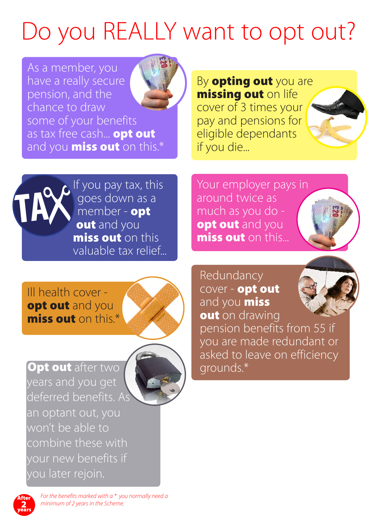## Do you REALLY want to opt out?

As a member, you have a really secure pension, and the chance to draw some of your benefits as tax free cash... **opt out** and you **miss out** on this.\*

By **opting out** you are missing out on life cover of 3 times your pay and pensions for eligible dependants if you die...



If you pay tax, this goes down as a member - opt out and you miss out on this valuable tax relief... Your employer pays in around twice as much as you do opt out and you miss out on this...



Ill health cover opt out and you miss out on this.\*



Opt out after two years and you get deferred benefits. As an optant out, you won't be able to combine these with your new benefits if you later rejoin.



Redundancy cover - opt out and you **miss** out on drawing

pension benefits from 55 if you are made redundant or asked to leave on efficiency grounds.\*



*For the benefits marked with a \* you normally need a minimum of 2 years in the Scheme.*